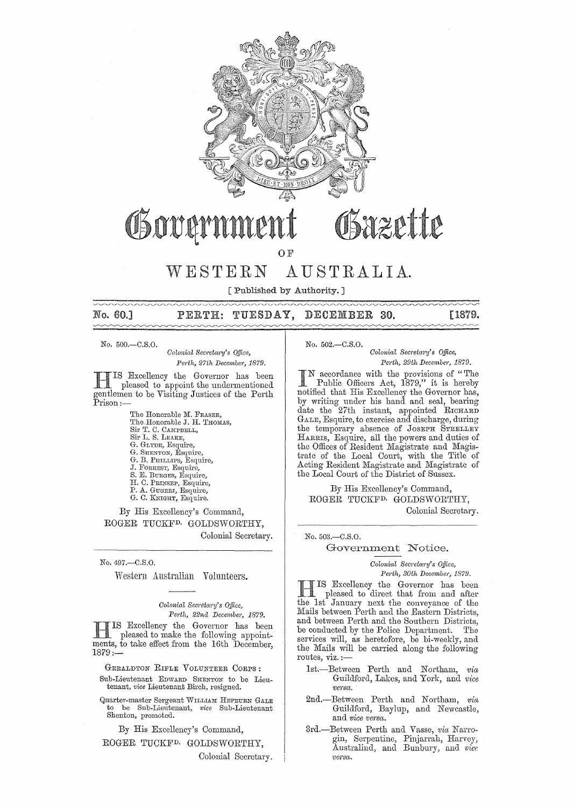

# Bazette Osovarni

OF

## WESTERN AUSTRALIA.

[Published by Authority. ]

## No. 60.] PERTH: TUESDAY, DECEMBER 30. [1879.

No. 500.-C.S.O.

*Colonial Secretary's Office, Perth, 27th December, 1879.* 

H IS Bxcellency the Governor has been pleased to appoint the undermentioned gentlemen to be Visiting Justices of the Perth Prison:-

> The Honorable M. FRASER, The Honorable J. H. THOMAS, Sir T. C. CAMPBELL, Sir L. S. LEARE, G. GLYDE, Esquire, G. SHENTON, Esquire, G. B. PHILLIPS, Esquire, J, FORREST, Esquire, S. E. BURGEs, Esquire, H. 0, PRINSEP, Esquire, P. A. GUGERI, Esquire, G, O. KNIGHT, Esquire.

By His Excellency's Command, ROGER TUCKFD. GOLDSWORTHY, Colonial Secretary.

No. 497.-C.S.O.

Western Australian Volunteers.

*Colonial Secretary's Office, Perth, 22nd December, 1879.* 

IS Excellency the Governor has been pleased to make the following appointments, to take effect from the 16th December,  $1879:$ 

GERALDTON RIFLE VOLUNTEER CORPS: Sub-Lieutenant EDWARD SHENTON to be Lieutenant, *vice* Lieutenant Birch, resigned.

Quartel'-master Sergeant WILLIAM HEPBURN GALE to be Sub-Lieutenant, *vice* Sub-Lieutenant Shenton, promoted.

By His Excellency's Command, ROGER TUCKFD. GOLDSWORTHY,

Colonial Secretary.

No. 502.-C.S.O.

 $Colonial$  Secretary's Office,

▄▄▄▄▄▄▄▄▄▄

*Perth, 29th Decembel', 1879.* 

I N accordance with the provisions of "The Public Officers Act, 1879," it is hereby notified that His Excellency the Governor has, by writing under his hand and seal, bearing date the 27th instant, appointed RICHARD GALE, Esquire, to exercise and discharge, during the temporary absence of JOSEPH STRELLEY HARRIS, Esquire, all the powers and duties of the Offices of Resident Magistrate and Magistrate of the Local Court, with the Title of Acting Resident Magistrate and Magistrate of the Local Court of the District of Sussex.

By His Excellency's Command, ROGER TUCKFD. GOLDSWORTHY, Colonial Secretary.

No. 503 .- C.S.O.

#### Government Notice.

 $Colonial$  Secretary's Office,  $Perth, 30th$  December, 1879.

HIS Excellency the Governor has been pleased to direct that from and after the 1st January next the conveyance of the Mails between Perth and the Eastern Districts, and between Perth and the Southern Districts, be conducted by the Police Department. The services will, as heretofore, be bi-weekly, and the Mails will be carried along the following routes, viz. :—

- 1st.-Between Perth and Northam, *via* Guildforcl, Lakes, and York, and *vice versct.*
- 2nd.-Between Perth and Northam, *via* Guildford, Baylup, and Newcastle, and *vice versa.*
- 3rd.--Between Perth and Vasse, *via* Narrogin, Serpentine, Pinjarrah, Harvey, Australind, and Bunbury, and *vice*  versa.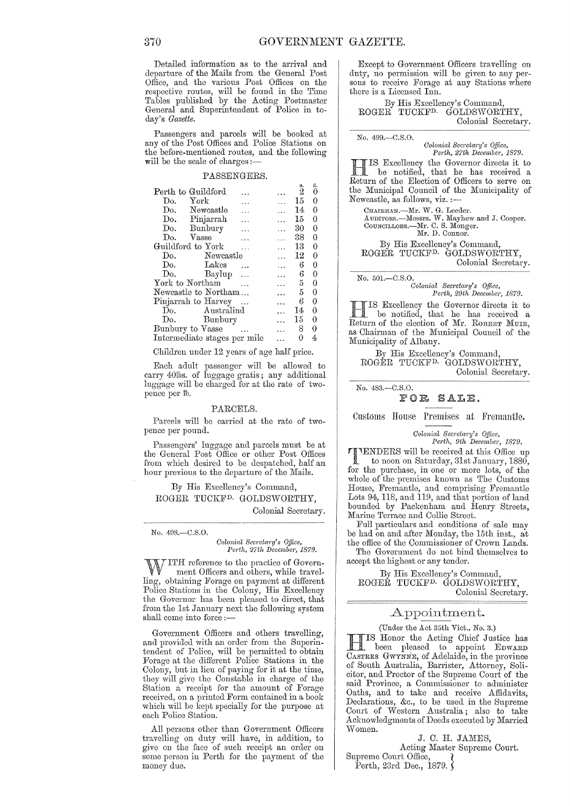Detailed information as to the arrival and departure of the Mails from the General Post Office, and the various Post Offices on the respective routes, will be found in the Time Tables published by the Acting Postmaster General and Superintendent of Police in today's *Gazette*.

Passengers and parcels will be booked at any of the Post Offices and Police Stations on the before-mentioned routes, and the following will be the scale of charges :-

#### PASSENGERS.

| Perth to Guildford              | s.<br>$\bar{2}$      | đ.<br>0 |
|---------------------------------|----------------------|---------|
|                                 |                      |         |
| York<br>Do.                     | 15<br>$\cdots$       | 0       |
| Do. Newcastle                   | 14<br>$\overline{a}$ | 0       |
| Do. Pinjarrah<br>$\dddotsc$     | 15                   | 0       |
| Do. Bunbury<br>$\ddotsc$        | 30                   | 0       |
| Vasse<br>Do.                    | 38                   | 0       |
| Guildford to York               | 13                   | 0       |
| Newcastle<br>Do.                | 12                   | 0       |
| Do.<br>$\rm{Lakes}$<br>$\cdots$ | 6                    | 0       |
| Do.<br>Baylup                   | 6<br>$\cdot$         | 0       |
| York to Northam                 | 5                    | 0       |
| Newcastle to Northam            | 5                    | 0       |
| Pinjarrah to Harvey             | 6                    | 0       |
| Do. Australind                  | 14                   | 0       |
| Do. Bunbury                     | 15<br>$\ddotsc$      | 0       |
| Bunbury to Vasse                | 8                    | 0       |
| Intermediate stages per mile    | 0                    | 4       |

Children under 12 years of age half price.

Each adult passengcr will be allowed to carry 40lbs. of luggage gratis; any additional luggage will be charged for at the rate of twopence per lb.

#### PARCELS.

Parcels will be carried at the rate of twopence per pound.

Passengers' luggage and parcels must be at the General Post Office or other Post Offices from which desired to be despatched, half an hour previous to the departure of the Mails.

By His Excellency's Command, ROGER TUCKF<sup>D.</sup> GOLDSWORTHY, Colonial Secretary.

No. 498.-C.S.O.

*Colonial Secretary's Office,*<br>Perth, 27th December, 1879.

 $J$  ITH reference to the practice of Government Officers and others, while travelling, obtaining Forage on payment at different Police Stations in the Colony, His Excellency the Governor has been pleased to direct, that from the 1st January next the following system shall come into force :-

Government Officers and others travelling, and provided with an order from the Superintendent of Police, will be permitted to obtain Forage at the different Police Stations in the Colony, but in lieu of paying for it at the time, they will give the Constable in charge of the Station a receipt for the amount of Forage received, on a printed Form contained in a book which will be kept specially for the purpose at each Police Station.

All persons other than Government Officers travelling on duty will have, in addition, to give on the face of such reeeipt an order on some person in Perth for the payment of the money due.

Except to Government Officers travelling on duty, no permission will be given to any persons to receive Forage at any Stations where there is a Licensed Inn.

By His Excellency's Command, ROGER TUCKFD. GOLDSWORTHY, Colonial Secretary.

No. 499.-C.S.O.

*Colonial Secretary's Office,* 

*Perth, 27th December, 1879.*<br>
IS Excellency the Governor directs it to **HIS Excellency the Governor directs it to**<br>be notified, that he has received a Return of the Election of Officers to serve on the Municipal Council of the Munieipality of Newcastle, as follows, viz. :-

CHAIRMAN.—Mr. W. G. Leeder.<br>AUDITORS.—Messrs. W. Mayhew and J. Cooper.<br>CounciLLORS.—Mr. C. S. Monger. Mr. D. Connor.

By His Excellency's Command, ROGER TUCKFD. GOLDSWORTHY, Colonial Seeretary.

No. 501.-C.8.0.

*Colonial Sem'eta1'y's 0.91ce, Perth, 29th December, 1879.* 

IIIS Excellency the Governor directs it to<br>Leturn of the election of Mr. ROBERT MUIR, IS Excellency the Governor directs it to he notiiied, that he has received a as Chairman of the Municipal Council of the Munieipality of Albany.

By His Excelleney's Command, ROGER TUCKF<sup>D.</sup> GOLDSWORTHY, Colonial Seeretary.

No. 483.-C.8,0.

FOR SALE,

Customs House Premises at Fremantle.

*Colonial Secretary's Op1ce, Perth, 9th December, .1879.* 

1. 1000, *Ju December, 1879.*<br>
1. 10 noon on Saturday Club Compon Section 2014. to noon on Saturday, 31st January, 1880, for the purchase, in one or more lots, of the whole of the premises known as The Customs House, Fremantle, and comprising Fremantle Lots 94, 118, and 119, and that portion of land bounded by Packenham and Henry Streets, Marine Terrace and Collie Street.

Full particulars and conditions of sale may be had on and after Monday, the 15th inst., at the office of the Commissioner of Crown Lands.

The Government do not bind themselves to aceept the highest or any tender.

By His Exeellency's Command, ROGEŘ TUCKF<sup>D.</sup> GOLDSWORTHY, Colonial Secretary.

#### Appointment.

(Under the Act 35th Vict., No. 3.)

TIS Honor the Acting Chief Justice has been pleased to appoint EDWARD CASTRES GWYNNE, of Adelaide, in the province of South Australia, Barrister, Attorney, Solicitor, and Proctor of the Supreme Court of the said Provinee, a Commissioner to administer Oaths, and to take and receive Affidavits, Declarations, &c., to be used in the Supreme Court of Western Australia; also to take Acknowledgments of Deeds executed by Married 'vVomen.

J. C. H. JAMES, Acting Master Supreme Court. Supreme Oourt Office, } Perth, 23rd Dec., 1879.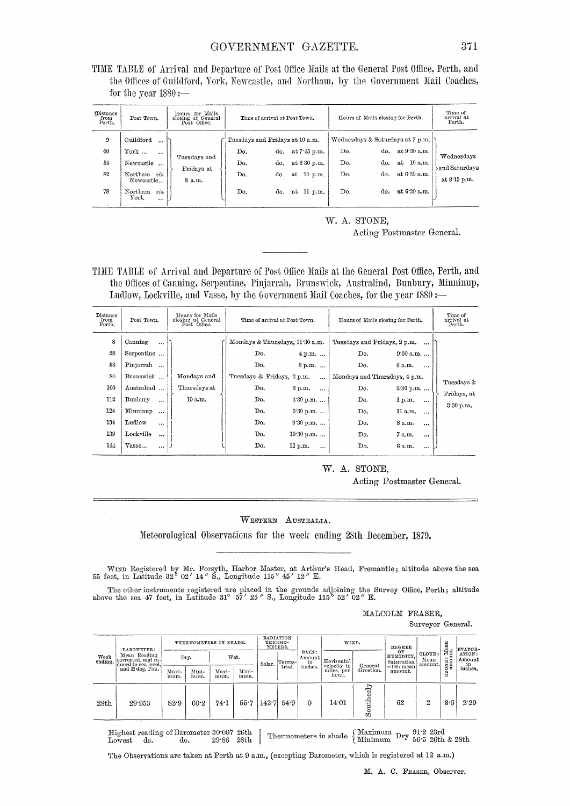TIME TABLE of Arrival and Departure of Post Office Mails at the General Post Office, Perth, and the Offices of Guildford, York, Newcastle, and Northam, by the Government Mail Coaches, for the year  $1880 :=$ 

| <b>Distance</b><br>from<br>Perth. | Post Town.                                   | Hours for Mails<br>closing at General<br>Post Office. | Time of arrival at Post Town.   |     |                 | Hours of Mails closing for Perth. | Time of<br>arrival at<br>Perth. |                                  |                               |
|-----------------------------------|----------------------------------------------|-------------------------------------------------------|---------------------------------|-----|-----------------|-----------------------------------|---------------------------------|----------------------------------|-------------------------------|
| 9                                 | Guildford<br>$\cdots$                        |                                                       | Tuesdays and Fridays at 10 a.m. |     |                 |                                   |                                 | Wednesdays & Saturdays at 7 p.m. |                               |
| 60                                | $\mathrm{York} \dots$<br>$\cdots$            |                                                       | Do.                             | do. | at 7 45 p.m.    | Do.                               | do.                             | at 9.30 a.m.                     | Wednesdays                    |
| 54                                | Newcastle<br>$\cdots$                        | Tuesdays and                                          | Do.                             | do. | at 6 30 p.m.    | Do.                               | do.                             | at 10 a.m.                       |                               |
| 82                                | Northam<br>via<br>Newcastle                  | Fridays at<br>8 a.m.                                  | Do.                             | do. | $10$ p.m.<br>at | Do.                               | do.                             | at 6.30 a.m.                     | and Saturdays<br>at 8.15 p.m. |
| 78                                | Northam<br>via<br>$_{\rm{York}}$<br>$\cdots$ |                                                       | Do.                             | do. | 11 p.m.<br>at   | Do.                               | do.                             | at 6.30 a.m.                     |                               |

W. A. STONE, Acting Postmaster General.

TIME TABLE of Arrival and Departure of Post Office Mails at the General Post Office, Perth, and the Offices of Canning, Serpentine, Pinjarrah, Brunswick, Australind, Bunbury, Minninup, Ludlow, Lockville, and Vasse, by the Government Mail Coaches, for the year 1880 :-

| Distance<br>from<br>Perth. | Post Town.                                                  | Hours for Mails<br>closing at General<br>Post Office. | Time of arrival at Post Town.                                               |                                                 | Hours of Mails closing for Perth.                                           | Time of<br>arrival at<br>Perth.             |                           |
|----------------------------|-------------------------------------------------------------|-------------------------------------------------------|-----------------------------------------------------------------------------|-------------------------------------------------|-----------------------------------------------------------------------------|---------------------------------------------|---------------------------|
| 8<br>28<br>53<br>84        | Canning<br>$\cdots$<br>Serpentine<br>Pinjarrah<br>Brunswick | Mondays and                                           | Mondays & Thursdays, 11:30 a.m.<br>Do.<br>Do.<br>Tuesdays & Fridays, 2 p.m. | $4 p.m. \dots$<br>8 p.m.<br>$\ddotsc$           | Tuesdays and Fridays, 2 p.m.<br>Do.<br>Do.<br>Mondays and Thursdays, 4 p.m. | $\cdots$<br>9.30 a.m.<br>6 a.m.<br>$\cdots$ |                           |
| 100<br>112                 | Australind<br>Bunbury<br>$\cdots$                           | Thursdays at<br>10 a.m.                               | Do.<br>Do.                                                                  | 3 p.m.<br>$\dddotsc$<br>$4.30 p.m.$             | Do.<br>Do.                                                                  | 2.30 p.m.<br>1 p.m.<br>$\cdots$             | Tuesdays &<br>Fridays, at |
| 124<br>134                 | Minninup<br>$\ddotsc$<br>Ludlow<br>$\cdots$                 |                                                       | Do.<br>Do.                                                                  | $6.30 p.m.$<br>$9.30 p.m.$                      | Do.<br>Do.                                                                  | 11 a.m.<br>$\cdots$<br>8 a.m.<br>$\cdots$   | 3.30 p.m.                 |
| 139<br>144                 | Lockville<br>$\cdots$<br>Vasse<br>$\cdots$                  |                                                       | Do.<br>Do.                                                                  | $10.30$ p.m.<br>$12\ \mathrm{p.m.}$<br>$\cdots$ | Do.<br>Do.                                                                  | 7 a.m.<br>$\cdots$<br>6 a.m.<br>$\cdots$    |                           |

#### W. A. STONE,

Acting Postmaster General.

#### WESTERN AUSTRALIA.

Meteorological Observations for the week ending 28th December, 1879.

WIND Registered by Mr. Forsyth, Harbor Master, at Arthur's Head, Fremantle; altitude above the sea 55 feet, in Latitude 32° 02′ 14″ S., Longitude 115° 45′ 12″ E.

The other instruments registered are placed in the grounds adjoining the Survey Office, Perth; altitude above the sea 47 feet, in Latitude 31° 57' 25" S., Longitude 115° 52' 02" E.

MALCOLM FRASER.

Surveyor General.

|                 | <b>BAROMETER:</b>                       | THERMOMETERS IN SHADE. |               |               | RADIATION<br>THERMO-<br>METERS. |        | WIND.   |                               | DEGREE                    |                   |                               | EVAPOR-                   |            |                     |
|-----------------|-----------------------------------------|------------------------|---------------|---------------|---------------------------------|--------|---------|-------------------------------|---------------------------|-------------------|-------------------------------|---------------------------|------------|---------------------|
| Week<br>ending. | Mean Reading<br>corrected, and re-      |                        | Dry.          |               | Wet.                            |        | Terres- | RAIN:<br>$\Delta$ mount<br>in | Horizontal<br>velocity in | General           | OЕ<br>HUMIDITY.<br>Saturation | CLOUD:<br>Mean<br>amount. | TONE: Mean | ATION:<br>Amount    |
|                 | duced to sea level,<br>and 32 deg. Fah. | Maxi-<br>mum.          | Mini-<br>mum. | Maxi-<br>mum. | Mini-<br>mum.                   | Solar. | trial.  | inches.                       | miles, per<br>hour.       | direction.        | $=100$ : mean<br>amount.      |                           | Š          | $\frac{in}{inches}$ |
| 28th            | 29.953                                  | 82.9                   | 60.2          | 74.1          | 55.7                            | 142.7  | 54.9    | 0                             | 14.01                     | P<br>品<br>뤋<br>τĎ | 62                            | 2                         | 3.6        | 2.29                |

Highest reading of Barometer 30.007 26th Thermometers in shade  $\left\{\begin{array}{l}\text{Maximum}\\\text{Minimum}\end{array}\right. \text{Dry}$  56.5 26th & 28th  $29.86$  28th Lowest do. do.

The Observations are taken at Perth at 9 a.m., (excepting Barometer, which is registered at 12 a.m.)

M. A. C. FRASER, Observer.

371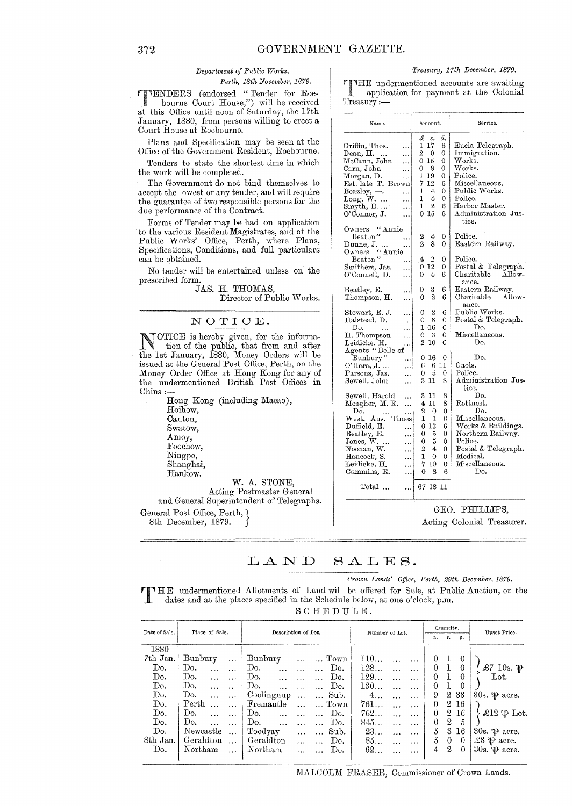## *Department of Public Works,*

 $Perth, 18th$  November, 1879.

 $\blacksquare$   $\textrm{'ENDERS}$  (endorsed "Tender for Roebourne Court House,") will be received bourne Court House,") will be received<br>at this Office until noon of Saturday, the 17th January, 1880, from persons willing to erect a Court House at Roebourne.

Plans and Specification may be seen at the Office of the Government Resident, Roebourne.

Tenders to state the shortest time in which the work will be completed.

The Government do not bind themselves to accept the lowest or any tender, and will require the guarantee of two responsible persons for the due performance of the Contract.

Forms of Tender may be had on application to the various Resident Magistrates, and at the Public Works' Office, Perth, where Plans, Specifications, Conditions, and full particulars can be obtained.

No tender will be entertained unless on the prescribed form.

JAS. H. THOMAS,

Director of Public Works.

### NOTICE.

NOTICE is hereby given, for the information of the public, that from and after the 1st January, 1880, Money Orders will be issued at the General Post Office, Perth, on the Money Order Office at Hong Kong for any of the undermentioned British Post Offices in China:

Hong Kong (including Macao), Hoihow, Canton, Swatow, Amoy, Foochow, Ningpo, Shanghai, Hankow. W. A. STONE,

Acting Postmaster General and General Superintendent of Telegraphs. General Post Office, Perth, }

8th December, 1879.

*Treasury, 17th December, 1879.* 

THE undermentioned accounts are awaiting<br>application for payment at the Colonial Treasury:-

| Name.                                 |                | Amount.        |                  | Service.                     |
|---------------------------------------|----------------|----------------|------------------|------------------------------|
|                                       | £              | s.             | d.               |                              |
| Griffin, Thos.<br>                    | ı              | 17             | 6                | Eucla Telegraph.             |
| Dean, H.<br>.                         | 2              | $\overline{0}$ | 0                | Immigration.                 |
| McCann, John<br>.                     | 0              | 15             | 0                | Works.                       |
| Carn, John                            | 0              | 8              | 0                | $\operatorname{Works.}$      |
| $\cdots$                              | 1              | 19             | 0                | Police.                      |
| Morgan, D.<br>.                       | 7              | 12             | 6                | Miscellaneous.               |
| Est. late T. Brown                    |                |                |                  | Public Works.                |
| Beazley, -<br>.                       | 1              | 4              | 0                |                              |
| Long, W.<br>.                         | 1              | 4              | 0                | Police.                      |
| Smyth, $E. \ldots$<br>.               | 1              | 2              | 6                | Harbor Master.               |
| O'Connor, J.<br>.                     | 0              | -15            | 6                | Administration Jus-<br>tice. |
| " Annie<br>$0$ wners –                |                |                |                  |                              |
| Beaton"<br>.                          | $\mathbf{2}$   | 4              | 0                | Police.                      |
| Dunne, J.<br>                         | $\overline{2}$ | 8              | 0                | Eastern Railway.             |
| "Annie<br>Owners                      |                |                |                  |                              |
| Beaton"<br>                           | 4              | 2              | 0                | Police.                      |
| Smithers, Jas.<br>.                   | 0              | -12            | 0                | Postal & Telegraph.          |
| O'Connell, D.<br>.                    | 0              | 4              | 6                | Charitable<br>Allow-         |
|                                       |                |                |                  | ance.                        |
| Beatley, E.                           | 0              | 3              | 6                | Eastern Railway.             |
| <br>Thompson, H.                      | 0              | $\overline{2}$ | 6                | Charitable<br>Allow-         |
|                                       |                |                |                  | ance.                        |
| Stewart, E. J.                        | 0              | 2              | 6                | Public Works.                |
| .                                     | 0              | 3              | 0                | Postal & Telegraph.          |
| Halstead, D.<br>.                     | 1              | 16             | 0                | Do.                          |
| Do.<br>$\cdots$<br>.                  |                |                |                  | Miscellaneous.               |
| H. Thompson<br>.                      | 0              | 3              | 0                |                              |
| Leidicke, H.<br>.                     | 2              | 10             | 0                | Do.                          |
| Agents "Belle of                      |                |                |                  |                              |
| Bunbury"<br>.                         | 0              | 16             | $\boldsymbol{0}$ | Do.                          |
| O'Hara, J.<br>.                       | 6              | 6              | 11               | Gaols.                       |
| Parsons, Jas.<br>.                    | 0              | 5              | 0                | Police.                      |
| Sewell, John<br>.                     | 3              | 11             | 8                | Administration Jus-          |
|                                       |                |                |                  | tice.                        |
| Sewell, Harold<br>.                   | 3              | 11             | 8                | Do.                          |
| Meagher, M. R.<br>.                   | 4              | 11             | 8                | Rottnest.                    |
| Do.<br>                               | 2              | 0              | 0                | Do.                          |
| West. Aus.<br>Times                   | 1              | 1              | 0                | Miscellaneous.               |
| Duffield, E.<br>.                     |                | 013            | 6                | Works & Buildings.           |
| Beatley, E.<br>                       | 0              | 5              | 0                | Northern Railway.            |
| $\text{Jones}, \, \text{W}. \, $<br>. | 0              | 5              | 0                | Police.                      |
| Noonan, W.                            | 2              | 4              | 0                | Postal & Telegraph.          |
| <br>Hancock, S.                       | 1              | 0              | 0                | Medical.                     |
| <br>Leidicke, H.                      | 7              | 10             | 0                | Miscellaneous.               |
|                                       | .              |                |                  | Do.                          |
| Cummins, R.<br>                       | 0              | 8              | 6                |                              |
| Total                                 |                | 67 18 11       |                  |                              |
|                                       |                |                |                  |                              |

GEO. PHILLIPS,

Acting Colonial Treasurer.

#### LAND SALES.

C"01On *Lands' Office, Perth, 29th December,* 1879.

T HE undermentioned Allotments of Land will be offered for Sale, at Public Auction, on the dates and at the places specified in the Schedule below, at one o'clock, p.m.

SCHEDULE.

| Date of Sale. | Place of Sale.  |           | Description of Lot. |          |                  | Number of Lot. |           |           |              | Quantity.      |            | Upset Price.               |
|---------------|-----------------|-----------|---------------------|----------|------------------|----------------|-----------|-----------|--------------|----------------|------------|----------------------------|
|               |                 |           |                     |          |                  |                |           |           | a.           | r.             | p.         |                            |
| 1880          |                 |           |                     |          |                  |                |           |           |              |                |            |                            |
| 7th Jan.      | Bunbury         | $\ldots$  | Bunbury             | $\ldots$ | Town             | 110            |           | $\cdots$  | $\theta$     |                | 0          |                            |
| Do.           | Do.<br>$\cdots$ |           | Do.<br>$\ddotsc$    |          | Do.<br>$\cdots$  | 128            | $\cdots$  | $\cdots$  | $\mathbf{0}$ | 1              | $^{\circ}$ | £7 10s. $\mathfrak{P}$     |
| Do.           | Do.             |           | Do.<br>$\ddotsc$    |          | Do.<br>$\ddotsc$ | 129            |           | $\cdots$  | 0            |                | $\theta$   | Lot.                       |
| Do.           | Do.             |           | Do.<br>$\cdots$     |          | Do.              | 130            |           | $\ddotsc$ | $\theta$     | 1              | 0          |                            |
| Do.           | Do.             | $\cdots$  | Coolingnup          | $\ldots$ | Sub.             | $4\ldots$      |           | $\cdots$  | 9            | $^{2}$         | 33         | 30s. $\mathcal{P}$ acre.   |
| Do.           | Perth           |           | Fremantle           |          | Town             | 761            |           | $\cdots$  | 0            | 2              | 16         |                            |
| Do.           | Do.<br>$\cdots$ | $\cdots$  | Do.<br>$\cdots$     | $\cdots$ | Do.<br>$\cdots$  | 762            | $\cdots$  | $\cdots$  | $\theta$     | $\overline{2}$ | 16         | £12 $\mathfrak{P}$ Lot.    |
| Do.           | Do.             | $\ddotsc$ | Do.                 | $\cdots$ | Do.<br>$\cdots$  | 845            |           | $\cdots$  | $\theta$     | 2              | 5          |                            |
| Do.           | Newcastle       | $\ddotsc$ | Toodyay             | $\cdots$ | Sub.<br>$\cdots$ | 23             | $\ddotsc$ | $\cdots$  | 5            | 3              | 16         | 30s. $\psi$ acre.          |
| 8th Jan.      | Geraldton       | $\ddotsc$ | Geraldton           |          | Do.              | 85             | $\ddotsc$ | $\cdots$  | 5            | $\theta$       | $\theta$   | £3 $\mathfrak{P}$ acre.    |
| Do.           | Northam         | $\cdots$  | Northam             |          | Do.              | 62             |           |           | 4            | 2              | $\theta$   | $30s.$ $\mathcal{P}$ acre. |
|               |                 |           |                     |          |                  |                |           |           |              |                |            |                            |

MALCOLM FRASER, Commissioner of Crown Lands.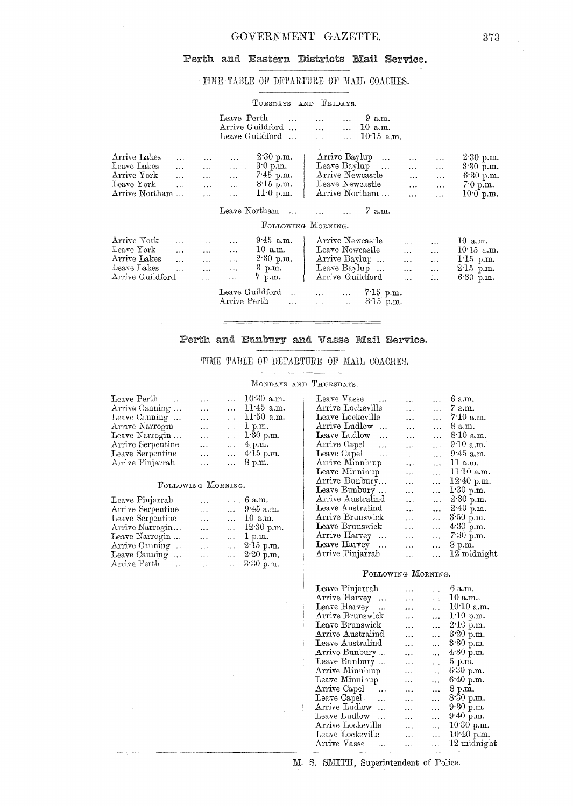## Perth and Eastern Districts Mail Service.

## TIME TABLE OF DEPARTURE OF MAIL COACHES.

#### TUESDAYS AND FRIDAYS.

|                                                                              |                                                                                      | Leave Perth<br>Arrive Guildford<br>Leave Guildford                                                                                                          | 9 a.m.<br>$10$ a.m.<br>$\ddotsc$<br>$\ddotsc$<br>$10.15$ a.m.                                                                                                                                                                                                                              |                                                                      |
|------------------------------------------------------------------------------|--------------------------------------------------------------------------------------|-------------------------------------------------------------------------------------------------------------------------------------------------------------|--------------------------------------------------------------------------------------------------------------------------------------------------------------------------------------------------------------------------------------------------------------------------------------------|----------------------------------------------------------------------|
| Arrive Lakes<br>Leave Lakes<br>Arrive York<br>Leave York<br>Arrive Northam   | $\ddotsc$<br>$\cdots$<br>$\ddotsc$<br>$\ddotsc$<br>$\ddotsc$<br>$\cdots$<br>$\cdots$ | 2.30 p.m.<br>$\ddotsc$<br>3.0 p.m.<br>$\ddotsc$<br>$7.45$ p.m.<br>$\ddotsc$<br>$8.15$ p.m.<br>$\ddotsc$<br>11.0 p.m.<br>$\ddotsc$                           | Arrive Baylup<br>$\ddotsc$<br>Leave Baylup<br>$\ddotsc$<br>$\cdots$<br>$\cdots$<br>Arrive Newcastle<br>$\mathbf{r}$<br>$\ddotsc$<br>Leave Newcastle<br>$\ddotsc$<br>Arrive Northam<br>.                                                                                                    | $2.30$ p.m.<br>3.30 p.m.<br>6.30 p.m.<br>7.0 p.m.<br>$10.0$ p.m.     |
|                                                                              |                                                                                      | Leave Northam<br>$\ddotsc$<br>FOLLOWING MORNING.                                                                                                            | 7 a.m.                                                                                                                                                                                                                                                                                     |                                                                      |
| Arrive York<br>Leave York<br>Arrive Lakes<br>Leave Lakes<br>Arrive Guildford | $\ddotsc$<br>$\cdots$<br>$\ddotsc$<br>.<br>$\ldots$<br>$\ddotsc$                     | $9.45$ a.m.<br>$\ddotsc$<br>$10$ a.m.<br>$\ddotsc$<br>2.30 p.m.<br>$\ddotsc$<br>3 p.m.<br>.<br>7 p.m.<br>.<br>Leave Guildford<br>Arrive Perth<br>$\dddotsc$ | Arrive Newcastle<br>$\ddotsc$<br>Leave Newcastle<br>$\ddotsc$<br>$\ddotsc$<br>Arrive Baylup<br>$\ddotsc$<br>$\cdots$<br>Leave Baylup<br>$\ldots$<br>$\cdots$<br>$\sim 10$<br>Arrive Guildford<br>$\ddotsc$<br>$7.15$ p.m.<br>$\ddotsc$<br>$\cdots$<br>$8.15$ p.m.<br>$\ddotsc$<br>$\ldots$ | 10 a.m.<br>$10.15$ a.m.<br>$1.15$ p.m.<br>$2.15$ p.m.<br>$6.30$ p.m. |

## Perth and Bunbury and Vasse Mail Service.

## TIME TABLE OF DEPARTURE OF MAIL COACHES.

### MONDAYS AND THURSDAYS.

| Leave Perth<br>$\sim$ |                             | $\mathbf{r}$ | $10.30$ a.m.       |
|-----------------------|-----------------------------|--------------|--------------------|
| Arrive Canning        | $\ldots$                    | $\cdots$     | $11.45$ a.m.       |
| Leave Canning         | $\mathcal{L}=\mathcal{L}$ . |              | $\dots$ 11.50 a.m. |
| Arrive Narrogin       | $\cdots$                    |              | $\ldots$ 1 p.m.    |
| Leave Narrogin        | $\ldots$                    |              | $1.30$ p.m.        |
| Arrive Serpentine     | $\ddotsc$                   |              | $\ldots$ 4.p.m.    |
| Leave Serpentine      | $\cdot$ .                   |              | $$ 4.15 p.m.       |
| Arrive Pinjarrah      | $\ddotsc$                   |              | 8 p.m.             |

#### FOLLOWING MORNING.

| Leave Pinjarrah        | $\ddotsc$ |          | $\ldots$ 6 a.m.    |
|------------------------|-----------|----------|--------------------|
| Arrive Serpentine      | $\ddotsc$ |          | $$ 9.45 a.m.       |
| Leave Serpentine       | $\cdots$  |          | $\dots$ 10 a.m.    |
| Arrive Narrogin        | $\ddotsc$ | $\cdots$ | 12.30 p.m.         |
| Leave Narrogin         | $\cdots$  | $\cdots$ | 1 p.m.             |
| Arrive Canning         | $\cdots$  |          | $\ldots$ 2.15 p.m. |
| Leave Canning          | $\cdots$  |          | $\ldots$ 2.20 p.m. |
| Arrive Perth<br>$\sim$ | $\ddotsc$ |          | $\ldots$ 3.30 p.m. |

| Leave Vasse                     |           |                          | 6 a.m.                 |
|---------------------------------|-----------|--------------------------|------------------------|
| Arrive Lockeville               | $\cdots$  | $\overline{\phantom{a}}$ | 7 a.m.                 |
| Leave Lockeville                | .         | $\ddotsc$                | 7.10 a.m.              |
| Arrive Ludlow<br>$\mathbb{R}^2$ | $\ddotsc$ | $\ddotsc$                | 8 a.m.                 |
| Leave Ludlow<br>$\ddotsc$       | $\cdots$  | .                        | 8.10 a.m.              |
| Arrive Capel                    | $\cdots$  | .                        | 9.10 a.m.              |
| Leave Capel<br>$\sim$ .         | $\cdots$  | $\ddotsc$                | $9.45$ a.m.            |
| Arrive Minninup                 | $\ddotsc$ | .                        | 11 a.m.                |
| Leave Minninup                  | .         | .                        | 11.10 a.m.             |
| Arrive Bunbury                  | .         | $\ddotsc$                | 12:40 p.m.             |
| Leave Bunbury                   | $\ddotsc$ | $\cdots$                 | 1.30 p.m.              |
| Arrive Australind               |           | .                        | $2.30$ p.m.            |
| Leave Australind                |           | $\ddotsc$                | $2.40$ p.m.            |
| Arrive Brunswick                | .         |                          | $3.50 \,\mathrm{p.m.}$ |
| Leave Brunswick                 |           | .                        | 4.30 p.m.              |
| Arrive Harvey                   | $\cdots$  | .                        | 7.30 p.m.              |
| Leave Harvey                    | $\cdots$  | $\ddotsc$                | 8 p.m.                 |
| Arrive Pinjarrah                | .         |                          | $12 \text{ midnight}$  |
|                                 |           |                          |                        |

### FOLLOWING MORNING.

| Leave Pinjarrah            |                 |           | 6 a.m.              |
|----------------------------|-----------------|-----------|---------------------|
| Arrive Harvey              | $\ddotsc$       | $\ddotsc$ | $10 \text{ a.m.}$   |
| Leave Harvey               |                 | $\ddotsc$ | 10.10 a.m.          |
| Arrive Brunswick           | $\cdot$ $\cdot$ |           | 1.10 p.m.           |
| Leave Brunswick            | $\ddotsc$       | $\ddotsc$ | $2.10$ p.m.         |
| Arrive Australind          | .               |           | $3.20$ p.m.         |
| Leave Australind           | .               | .         | $3.30 \text{ p.m.}$ |
| Arrive Bunbury             | .               | $\ddotsc$ | 4.30 p.m.           |
| Leave Bunbury              | .               | .         | $5 \text{ p.m.}$    |
| Arrive Minninup            | $\ddotsc$       | $\ddotsc$ | $6.30$ p.m.         |
| Leave Minninup             | .               |           | 6.40 p.m.           |
| Arrive Capel               | .               | $\ddotsc$ | 8 p.m.              |
| Leave Capel                | .               | $\ddotsc$ | $8.30 \text{ p.m.}$ |
| Arrive Ludlow<br>$\ddotsc$ | $\ddotsc$       | $\ddotsc$ | 9.30 p.m.           |
| Leave Ludlow               | .               |           | $9.40$ p.m.         |
| Arrive Lockeville          | .               |           | $10.30$ p.m.        |
| Leave Lockeville           | $\ddotsc$       |           | 10.40 p.m.          |
| Arrive Vasse               |                 | .         | 12 midnight         |
|                            |                 |           |                     |

M. S. SMITH, Superintendent of Police.